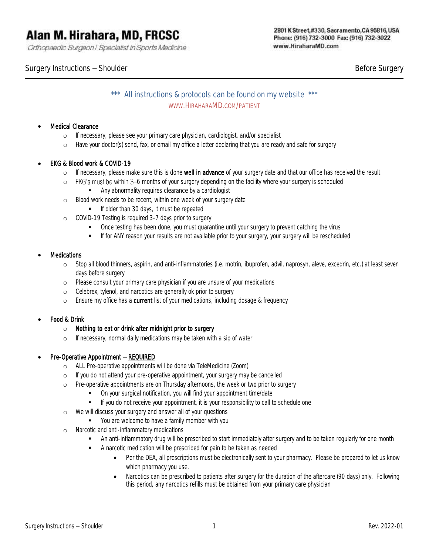Orthopaedic Surgeon | Specialist in Sports Medicine

#### 2801 K Street,#330, Sacramento, CA 95816, USA Phone: (916) 732-3000 Fax: (916) 732-3022 www.HiraharaMD.com

Surgery Instructions – Shoulder and Shoulder and Shoulder and Shoulder Before Surgery

\*\*\* All instructions & protocols can be found on my website \*\*\* WWW.HIRAHARAMD.COM/PATIENT

#### **Medical Clearance**

- o If necessary, please see your primary care physician, cardiologist, and/or specialist
- o Have your doctor(s) send, fax, or email my office a letter declaring that you are ready and safe for surgery

## • EKG & Blood work & COVID-19

- o If necessary, please make sure this is done well in advance of your surgery date and that our office has received the result
- o EKG's must be within 3-6 months of your surgery depending on the facility where your surgery is scheduled
	- Any abnormality requires clearance by a cardiologist
- o Blood work needs to be recent, within one week of your surgery date
	- **■** If older than 30 days, it must be repeated
- o COVID-19 Testing is required 3-7 days prior to surgery
	- Once testing has been done, you must quarantine until your surgery to prevent catching the virus
	- **■** If for ANY reason your results are not available prior to your surgery, your surgery will be rescheduled

#### **Medications**

- o Stop all blood thinners, aspirin, and anti-inflammatories (i.e. motrin, ibuprofen, advil, naprosyn, aleve, excedrin, etc.) at least seven days before surgery
- o Please consult your primary care physician if you are unsure of your medications
- o Celebrex, tylenol, and narcotics are generally ok prior to surgery
- o Ensure my office has a current list of your medications, including dosage & frequency

# • Food & Drink

- o *Nothing to eat or drink after midnight prior to surgery*
- o If necessary, normal daily medications may be taken with a sip of water

# $Pre-Operative\,$  Appointment  $-$  REQUIRED

- o ALL Pre-operative appointments will be done via TeleMedicine (Zoom)
- o If you do not attend your pre-operative appointment, your surgery may be cancelled
- o Pre-operative appointments are on Thursday afternoons, the week or two prior to surgery
	- On your surgical notification, you will find your appointment time/date
	- **■** If you do not receive your appointment, it is your responsibility to call to schedule one
- o We will discuss your surgery and answer all of your questions
	- You are welcome to have a family member with you
- o Narcotic and anti-inflammatory medications
	- **■** An anti-inflammatory drug will be prescribed to start immediately after surgery and to be taken regularly for one month
	- A narcotic medication will be prescribed for pain to be taken as needed
		- Per the DEA, all prescriptions must be electronically sent to your pharmacy. Please be prepared to let us know which pharmacy you use.
		- Narcotics can be prescribed to patients after surgery for the duration of the aftercare (90 days) only. Following this period, any narcotics refills must be obtained from your primary care physician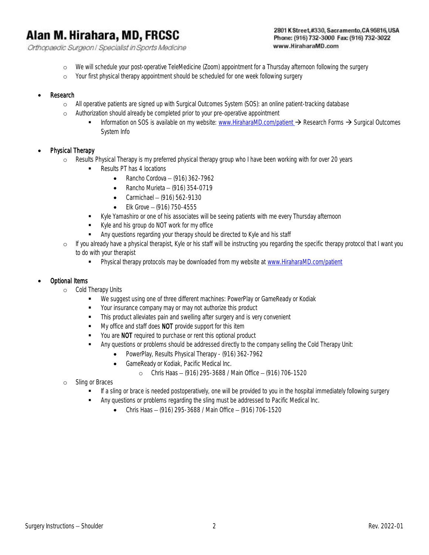Orthopaedic Surgeon | Specialist in Sports Medicine

#### 2801 K Street,#330, Sacramento, CA 95816, USA Phone: (916) 732-3000 Fax: (916) 732-3022 www.HiraharaMD.com

- o We will schedule your post-operative TeleMedicine (Zoom) appointment for a Thursday afternoon following the surgery
- o Your first physical therapy appointment should be scheduled for one week following surgery

#### **Research**

- o All operative patients are signed up with Surgical Outcomes System (SOS): an online patient-tracking database
- o Authorization should already be completed prior to your pre-operative appointment
	- Information on SOS is available on my website: [www.HiraharaMD.com/patient](http://www.hiraharamd.com/patient) → Research Forms → Surgical Outcomes System Info

## Physical Therapy

- o Results Physical Therapy is my preferred physical therapy group who I have been working with for over 20 years
	- Results PT has 4 locations
		- Rancho Cordova  $-$  (916) 362-7962
		- Rancho Murieta  $-$  (916) 354-0719
		- Carmichael  $-$  (916) 562-9130
		- Elk Grove  $-$  (916) 750-4555
	- Kyle Yamashiro or one of his associates will be seeing patients with me every Thursday afternoon
	- Kyle and his group do NOT work for my office
	- **EXECT** Any questions regarding your therapy should be directed to Kyle and his staff
- o If you already have a physical therapist, Kyle or his staff will be instructing you regarding the specific therapy protocol that I want you to do with your therapist
	- **•** Physical therapy protocols may be downloaded from my website at [www.HiraharaMD.com/patient](http://www.hiraharamd.com/patient)

#### • Optional Items

- o Cold Therapy Units
	- We suggest using one of three different machines: PowerPlay or GameReady or Kodiak
	- Your insurance company may or may not authorize this product
	- **•** This product alleviates pain and swelling after surgery and is very convenient
	- My office and staff does NOT provide support for this item
	- You are NOT required to purchase or rent this optional product
	- Any questions or problems should be addressed directly to the company selling the Cold Therapy Unit:
		- PowerPlay, Results Physical Therapy (916) 362-7962
		- GameReady or Kodiak, Pacific Medical Inc.
			- o Chris Haas (916) 295-3688 / Main Office (916) 706-1520
- o Sling or Braces
	- If a sling or brace is needed postoperatively, one will be provided to you in the hospital immediately following surgery
		- Any questions or problems regarding the sling must be addressed to Pacific Medical Inc.
			- Chris Haas (916) 295-3688 / Main Office (916) 706-1520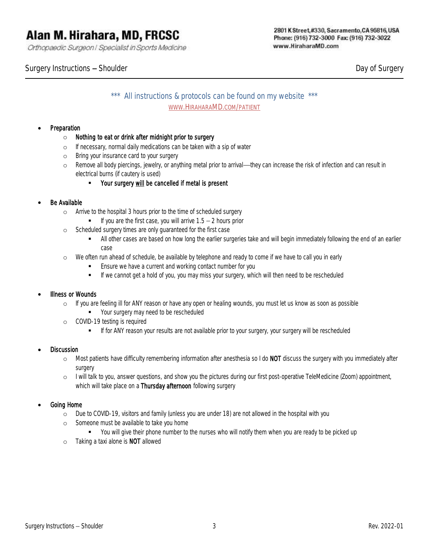Orthopaedic Surgeon | Specialist in Sports Medicine

Surgery Instructions – Shoulder and Surgery Control of Surgery Day of Surgery

# \*\*\* All instructions & protocols can be found on my website \*\*\* WWW.HIRAHARAMD.COM/PATIENT

## **Preparation**

- o *Nothing to eat or drink after midnight prior to surgery*
- o If necessary, normal daily medications can be taken with a sip of water
- o Bring your insurance card to your surgery
- o Remove all body piercings, jewelry, or anything metal prior to arrival—they can increase the risk of infection and can result in electrical burns (if cautery is used)
	- Your surgery will be cancelled if metal is present

## Be Available

- o Arrive to the hospital 3 hours prior to the time of scheduled surgery
	- $\blacksquare$  If you are the first case, you will arrive  $1.5 2$  hours prior
- o Scheduled surgery times are only guaranteed for the first case
	- All other cases are based on how long the earlier surgeries take and will begin immediately following the end of an earlier case
- o We often run ahead of schedule, be available by telephone and ready to come if we have to call you in early
	- **Ensure we have a current and working contact number for you**
	- **■** If we cannot get a hold of you, you may miss your surgery, which will then need to be rescheduled

#### Illness or Wounds

- o If you are feeling ill for ANY reason or have any open or healing wounds, you must let us know as soon as possible
	- Your surgery may need to be rescheduled
- o COVID-19 testing is required
	- **■** If for ANY reason your results are not available prior to your surgery, your surgery will be rescheduled

#### **Discussion**

- o Most patients have difficulty remembering information after anesthesia so I do NOT discuss the surgery with you immediately after surgery
- o I will talk to you, answer questions, and show you the pictures during our first post-operative TeleMedicine (Zoom) appointment, which will take place on a Thursday afternoon following surgery

#### • Going Home

- o Due to COVID-19, visitors and family (unless you are under 18) are not allowed in the hospital with you
- o Someone must be available to take you home
	- You will give their phone number to the nurses who will notify them when you are ready to be picked up
- o Taking a taxi alone is NOT allowed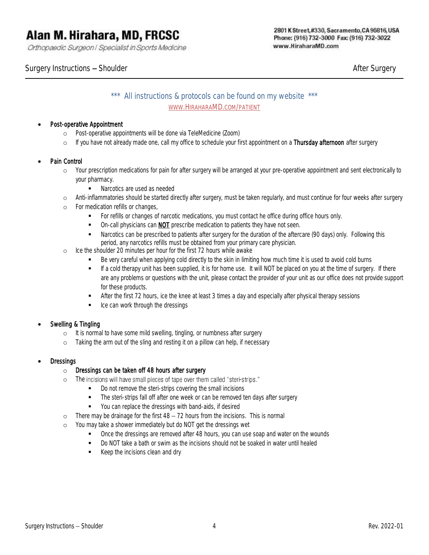Orthopaedic Surgeon | Specialist in Sports Medicine

Surgery Instructions — Shoulder After Surgery After Surgery After Surgery After Surgery

# \*\*\* All instructions & protocols can be found on my website \*\*\* WWW.HIRAHARAMD.COM/PATIENT

# • Post-operative Appointment

- o Post-operative appointments will be done via TeleMedicine (Zoom)
- o If you have not already made one, call my office to schedule your first appointment on a Thursday afternoon after surgery

## Pain Control

- o Your prescription medications for pain for after surgery will be arranged at your pre-operative appointment and sent electronically to your pharmacy.
	- Narcotics are used as needed
- o Anti-inflammatories should be started directly after surgery, must be taken regularly, and must continue for four weeks after surgery
- o For medication refills or changes,
	- **•** For refills or changes of narcotic medications, you must contact he office during office hours only.
	- **•** On-call physicians can **NOT** prescribe medication to patients they have not seen.
	- **■** Narcotics can be prescribed to patients after surgery for the duration of the aftercare (90 days) only. Following this period, any narcotics refills must be obtained from your primary care physician.
- o Ice the shoulder 20 minutes per hour for the first 72 hours while awake
	- Be very careful when applying cold directly to the skin in limiting how much time it is used to avoid cold burns
	- If a cold therapy unit has been supplied, it is for home use. It will NOT be placed on you at the time of surgery. If there are any problems or questions with the unit, please contact the provider of your unit as our office does not provide support for these products.
	- **EXECUTE:** After the first 72 hours, ice the knee at least 3 times a day and especially after physical therapy sessions
	- Ice can work through the dressings

#### • Swelling & Tingling

- o It is normal to have some mild swelling, tingling, or numbness after surgery
- o Taking the arm out of the sling and resting it on a pillow can help, if necessary

#### **Dressings**

#### o Dressings can be taken off 48 hours after surgery

- o The incisions will have small pieces of tape over them called "steri-strips."
	- Do not remove the steri-strips covering the small incisions
		- **•** The steri-strips fall off after one week or can be removed ten days after surgery
		- You can replace the dressings with band-aids, if desired
- $\circ$  There may be drainage for the first  $48 72$  hours from the incisions. This is normal
- o You may take a shower immediately but do NOT get the dressings wet
	- Once the dressings are removed after 48 hours, you can use soap and water on the wounds
	- Do NOT take a bath or swim as the incisions should not be soaked in water until healed
	- Keep the incisions clean and dry